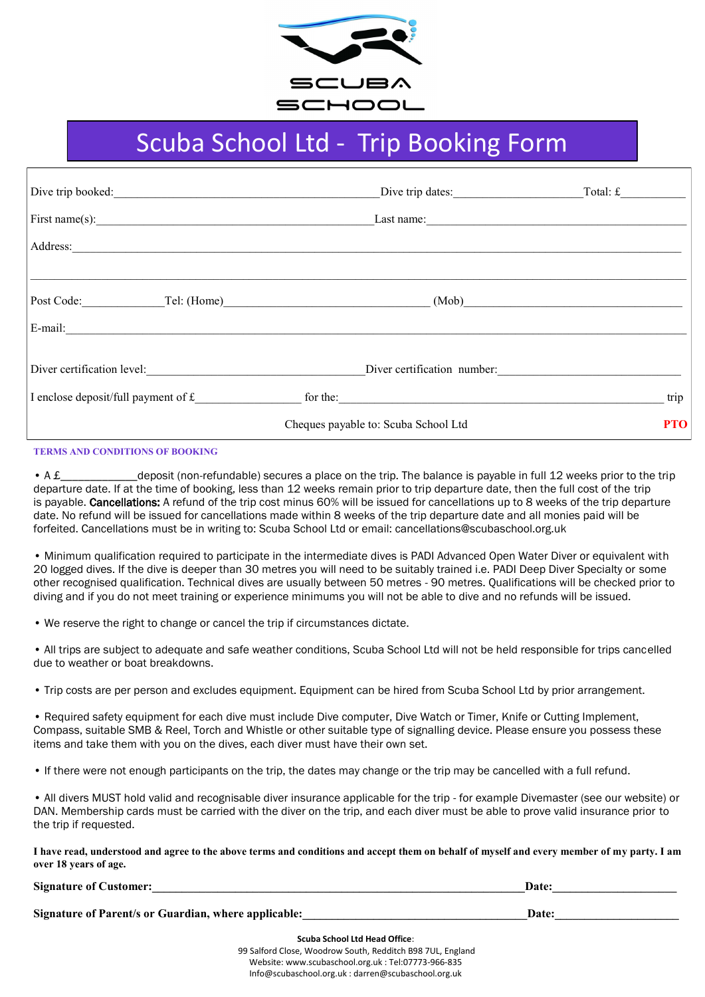

## Scuba School Ltd - Trip Booking Form

| Dive trip booked:                     | Dive trip dates: Total: £                                                         |            |
|---------------------------------------|-----------------------------------------------------------------------------------|------------|
| First name(s): $\qquad \qquad \qquad$ | Last name:                                                                        |            |
|                                       |                                                                                   |            |
|                                       |                                                                                   |            |
|                                       | Post Code: Tel: (Home) (Mob)                                                      |            |
|                                       |                                                                                   |            |
|                                       | Diver certification level: Diver certification number:                            |            |
|                                       | I enclose deposit/full payment of $f$ for the $\frac{1}{2}$ for the $\frac{1}{2}$ | trip       |
|                                       | Cheques payable to: Scuba School Ltd                                              | <b>PTO</b> |

## **TERMS AND CONDITIONS OF BOOKING**

• A £ deposit (non-refundable) secures a place on the trip. The balance is payable in full 12 weeks prior to the trip departure date. If at the time of booking, less than 12 weeks remain prior to trip departure date, then the full cost of the trip is payable. Cancellations: A refund of the trip cost minus 60% will be issued for cancellations up to 8 weeks of the trip departure date. No refund will be issued for cancellations made within 8 weeks of the trip departure date and all monies paid will be forfeited. Cancellations must be in writing to: Scuba School Ltd or email: cancellations@scubaschool.org.uk

• Minimum qualification required to participate in the intermediate dives is PADI Advanced Open Water Diver or equivalent with 20 logged dives. If the dive is deeper than 30 metres you will need to be suitably trained i.e. PADI Deep Diver Specialty or some other recognised qualification. Technical dives are usually between 50 metres - 90 metres. Qualifications will be checked prior to diving and if you do not meet training or experience minimums you will not be able to dive and no refunds will be issued.

• We reserve the right to change or cancel the trip if circumstances dictate.

• All trips are subject to adequate and safe weather conditions, Scuba School Ltd will not be held responsible for trips cancelled due to weather or boat breakdowns.

• Trip costs are per person and excludes equipment. Equipment can be hired from Scuba School Ltd by prior arrangement.

• Required safety equipment for each dive must include Dive computer, Dive Watch or Timer, Knife or Cutting Implement, Compass, suitable SMB & Reel, Torch and Whistle or other suitable type of signalling device. Please ensure you possess these items and take them with you on the dives, each diver must have their own set.

• If there were not enough participants on the trip, the dates may change or the trip may be cancelled with a full refund.

• All divers MUST hold valid and recognisable diver insurance applicable for the trip - for example Divemaster (see our website) or DAN. Membership cards must be carried with the diver on the trip, and each diver must be able to prove valid insurance prior to the trip if requested.

**I have read, understood and agree to the above terms and conditions and accept them on behalf of myself and every member of my party. I am over 18 years of age.**

**Signature of Customer:**  $\blacksquare$ 

**Signature of Parent/s or Guardian, where applicable:** The contract of the contract of Parent Section 2016. The contract of  $P$  and  $P$  and  $P$  and  $P$  and  $P$  and  $P$  and  $P$  and  $P$  and  $P$  and  $P$  and  $P$  and  $P$  and  $P$ 

**Scuba School Ltd Head Office**:

99 Salford Close, Woodrow South, Redditch B98 7UL, England Website: www.scubaschool.org.uk : Tel:07773-966-835 Info@scubaschool.org.uk : darren@scubaschool.org.uk